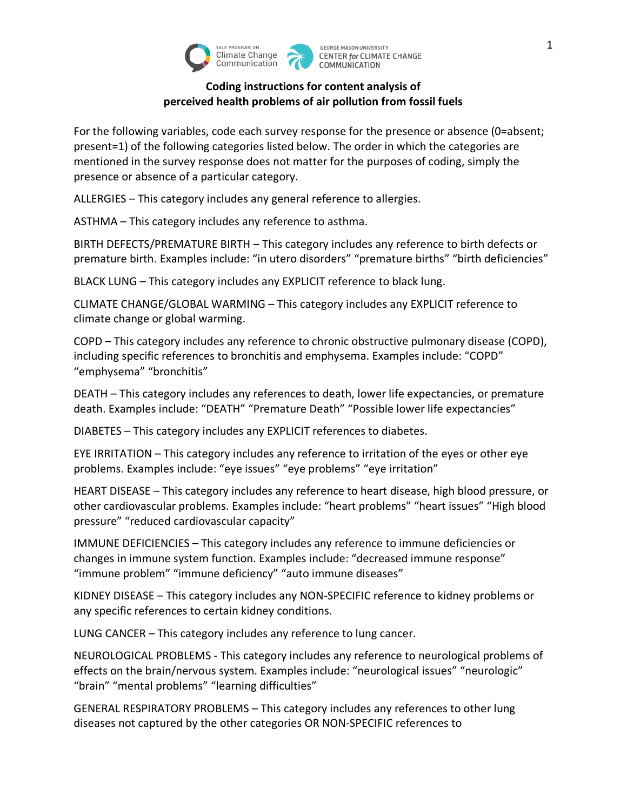

## **Coding instructions for content analysis of perceived health problems of air pollution from fossil fuels**

For the following variables, code each survey response for the presence or absence (0=absent; present=1) of the following categories listed below. The order in which the categories are mentioned in the survey response does not matter for the purposes of coding, simply the presence or absence of a particular category.

ALLERGIES – This category includes any general reference to allergies.

ASTHMA – This category includes any reference to asthma.

BIRTH DEFECTS/PREMATURE BIRTH – This category includes any reference to birth defects or premature birth. Examples include: "in utero disorders" "premature births" "birth deficiencies"

BLACK LUNG – This category includes any EXPLICIT reference to black lung.

CLIMATE CHANGE/GLOBAL WARMING – This category includes any EXPLICIT reference to climate change or global warming.

COPD – This category includes any reference to chronic obstructive pulmonary disease (COPD), including specific references to bronchitis and emphysema. Examples include: "COPD" "emphysema" "bronchitis"

DEATH – This category includes any references to death, lower life expectancies, or premature death. Examples include: "DEATH" "Premature Death" "Possible lower life expectancies"

DIABETES – This category includes any EXPLICIT references to diabetes.

EYE IRRITATION – This category includes any reference to irritation of the eyes or other eye problems. Examples include: "eye issues" "eye problems" "eye irritation"

HEART DISEASE – This category includes any reference to heart disease, high blood pressure, or other cardiovascular problems. Examples include: "heart problems" "heart issues" "High blood pressure" "reduced cardiovascular capacity"

IMMUNE DEFICIENCIES – This category includes any reference to immune deficiencies or changes in immune system function. Examples include: "decreased immune response" "immune problem" "immune deficiency" "auto immune diseases"

KIDNEY DISEASE – This category includes any NON-SPECIFIC reference to kidney problems or any specific references to certain kidney conditions.

LUNG CANCER – This category includes any reference to lung cancer.

NEUROLOGICAL PROBLEMS - This category includes any reference to neurological problems of effects on the brain/nervous system. Examples include: "neurological issues" "neurologic" "brain" "mental problems" "learning difficulties"

GENERAL RESPIRATORY PROBLEMS – This category includes any references to other lung diseases not captured by the other categories OR NON-SPECIFIC references to